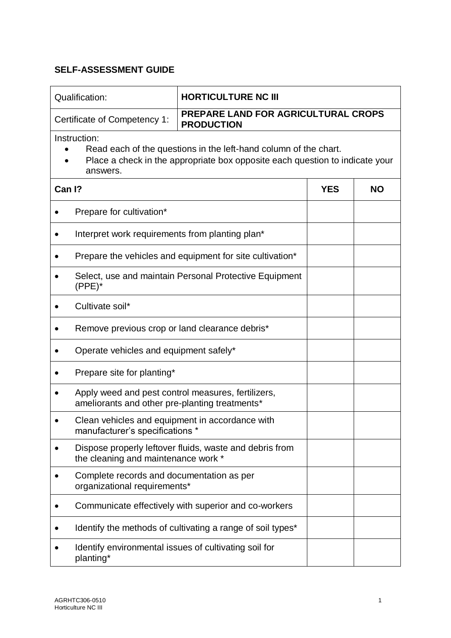| Qualification:                                                                                                                                                               | <b>HORTICULTURE NC III</b>                                                                           |            |           |  |
|------------------------------------------------------------------------------------------------------------------------------------------------------------------------------|------------------------------------------------------------------------------------------------------|------------|-----------|--|
|                                                                                                                                                                              | <b>PREPARE LAND FOR AGRICULTURAL CROPS</b><br>Certificate of Competency 1:<br><b>PRODUCTION</b>      |            |           |  |
| Instruction:<br>Read each of the questions in the left-hand column of the chart.<br>Place a check in the appropriate box opposite each question to indicate your<br>answers. |                                                                                                      |            |           |  |
| Can I?                                                                                                                                                                       |                                                                                                      | <b>YES</b> | <b>NO</b> |  |
| Prepare for cultivation*                                                                                                                                                     |                                                                                                      |            |           |  |
|                                                                                                                                                                              | Interpret work requirements from planting plan*                                                      |            |           |  |
|                                                                                                                                                                              | Prepare the vehicles and equipment for site cultivation*                                             |            |           |  |
| $(PPE)^*$                                                                                                                                                                    | Select, use and maintain Personal Protective Equipment                                               |            |           |  |
| Cultivate soil*                                                                                                                                                              |                                                                                                      |            |           |  |
|                                                                                                                                                                              | Remove previous crop or land clearance debris*                                                       |            |           |  |
| Operate vehicles and equipment safely*                                                                                                                                       |                                                                                                      |            |           |  |
| Prepare site for planting*                                                                                                                                                   |                                                                                                      |            |           |  |
|                                                                                                                                                                              | Apply weed and pest control measures, fertilizers,<br>ameliorants and other pre-planting treatments* |            |           |  |
| manufacturer's specifications *                                                                                                                                              | Clean vehicles and equipment in accordance with                                                      |            |           |  |
| ٠<br>the cleaning and maintenance work *                                                                                                                                     | Dispose properly leftover fluids, waste and debris from                                              |            |           |  |
| ٠<br>organizational requirements*                                                                                                                                            | Complete records and documentation as per                                                            |            |           |  |
|                                                                                                                                                                              | Communicate effectively with superior and co-workers                                                 |            |           |  |
|                                                                                                                                                                              | Identify the methods of cultivating a range of soil types*                                           |            |           |  |
| planting*                                                                                                                                                                    | Identify environmental issues of cultivating soil for                                                |            |           |  |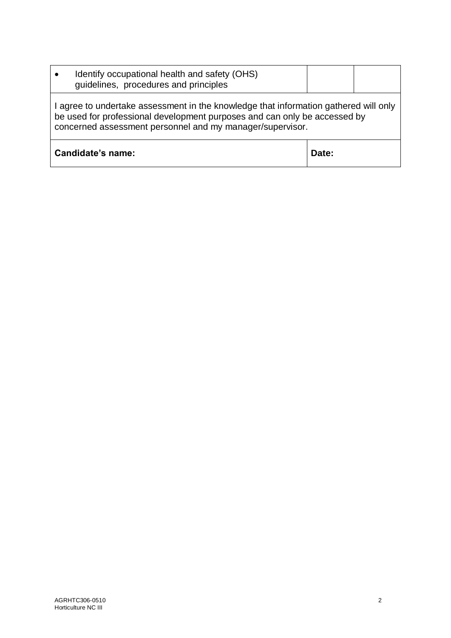| Identify occupational health and safety (OHS)<br>quidelines, procedures and principles                                                                                                                                         |       |  |  |
|--------------------------------------------------------------------------------------------------------------------------------------------------------------------------------------------------------------------------------|-------|--|--|
| I agree to undertake assessment in the knowledge that information gathered will only<br>be used for professional development purposes and can only be accessed by<br>concerned assessment personnel and my manager/supervisor. |       |  |  |
| Candidate's name:                                                                                                                                                                                                              | Date: |  |  |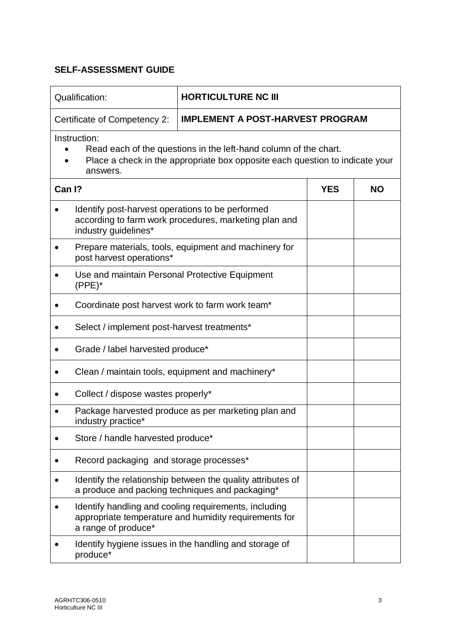| Qualification:                                                                                                                                                               | <b>HORTICULTURE NC III</b>                                                                                     |            |           |
|------------------------------------------------------------------------------------------------------------------------------------------------------------------------------|----------------------------------------------------------------------------------------------------------------|------------|-----------|
| Certificate of Competency 2:                                                                                                                                                 | <b>IMPLEMENT A POST-HARVEST PROGRAM</b>                                                                        |            |           |
| Instruction:<br>Read each of the questions in the left-hand column of the chart.<br>Place a check in the appropriate box opposite each question to indicate your<br>answers. |                                                                                                                |            |           |
| Can I?                                                                                                                                                                       |                                                                                                                | <b>YES</b> | <b>NO</b> |
| Identify post-harvest operations to be performed<br>industry guidelines*                                                                                                     | according to farm work procedures, marketing plan and                                                          |            |           |
| post harvest operations*                                                                                                                                                     | Prepare materials, tools, equipment and machinery for                                                          |            |           |
| Use and maintain Personal Protective Equipment<br>$(PPE)^*$                                                                                                                  |                                                                                                                |            |           |
| Coordinate post harvest work to farm work team*                                                                                                                              |                                                                                                                |            |           |
| Select / implement post-harvest treatments*                                                                                                                                  |                                                                                                                |            |           |
| Grade / label harvested produce*                                                                                                                                             |                                                                                                                |            |           |
| Clean / maintain tools, equipment and machinery*                                                                                                                             |                                                                                                                |            |           |
| Collect / dispose wastes properly*                                                                                                                                           |                                                                                                                |            |           |
| industry practice*                                                                                                                                                           | Package harvested produce as per marketing plan and                                                            |            |           |
| Store / handle harvested produce*                                                                                                                                            |                                                                                                                |            |           |
| Record packaging and storage processes*                                                                                                                                      |                                                                                                                |            |           |
|                                                                                                                                                                              | Identify the relationship between the quality attributes of<br>a produce and packing techniques and packaging* |            |           |
| a range of produce*                                                                                                                                                          | Identify handling and cooling requirements, including<br>appropriate temperature and humidity requirements for |            |           |
| produce*                                                                                                                                                                     | Identify hygiene issues in the handling and storage of                                                         |            |           |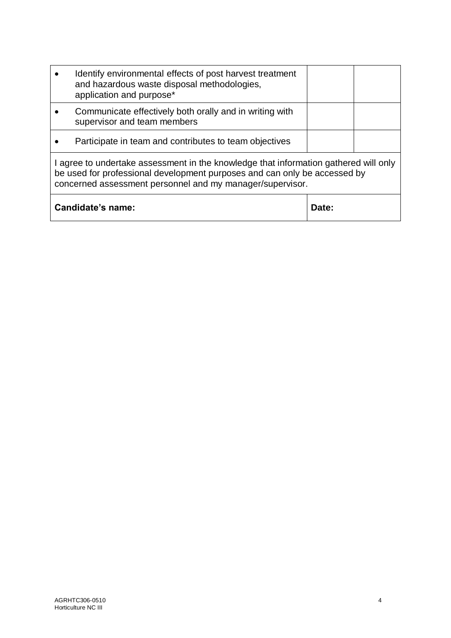|                                                                                                                                                                                                                                | Identify environmental effects of post harvest treatment<br>and hazardous waste disposal methodologies,<br>application and purpose* |       |  |
|--------------------------------------------------------------------------------------------------------------------------------------------------------------------------------------------------------------------------------|-------------------------------------------------------------------------------------------------------------------------------------|-------|--|
|                                                                                                                                                                                                                                | Communicate effectively both orally and in writing with<br>supervisor and team members                                              |       |  |
|                                                                                                                                                                                                                                | Participate in team and contributes to team objectives                                                                              |       |  |
| I agree to undertake assessment in the knowledge that information gathered will only<br>be used for professional development purposes and can only be accessed by<br>concerned assessment personnel and my manager/supervisor. |                                                                                                                                     |       |  |
| Candidate's name:                                                                                                                                                                                                              |                                                                                                                                     | Date: |  |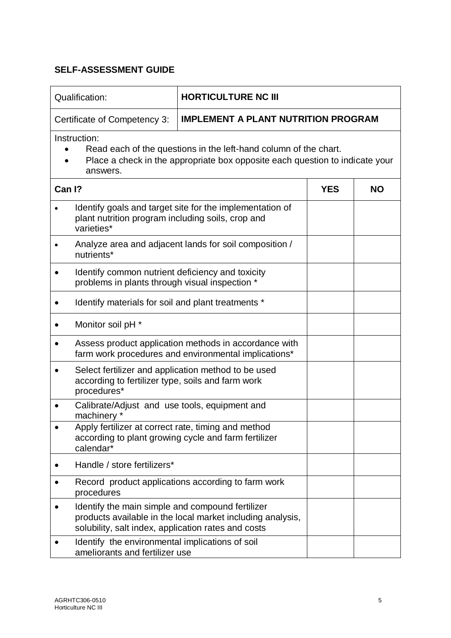| Qualification:                                                                                                                                                               | <b>HORTICULTURE NC III</b>                                                                                    |            |           |  |
|------------------------------------------------------------------------------------------------------------------------------------------------------------------------------|---------------------------------------------------------------------------------------------------------------|------------|-----------|--|
| Certificate of Competency 3:                                                                                                                                                 | <b>IMPLEMENT A PLANT NUTRITION PROGRAM</b>                                                                    |            |           |  |
| Instruction:<br>Read each of the questions in the left-hand column of the chart.<br>Place a check in the appropriate box opposite each question to indicate your<br>answers. |                                                                                                               |            |           |  |
| Can I?                                                                                                                                                                       |                                                                                                               | <b>YES</b> | <b>NO</b> |  |
| plant nutrition program including soils, crop and<br>varieties*                                                                                                              | Identify goals and target site for the implementation of                                                      |            |           |  |
| nutrients*                                                                                                                                                                   | Analyze area and adjacent lands for soil composition /                                                        |            |           |  |
| Identify common nutrient deficiency and toxicity<br>problems in plants through visual inspection *                                                                           |                                                                                                               |            |           |  |
| Identify materials for soil and plant treatments *                                                                                                                           |                                                                                                               |            |           |  |
| Monitor soil pH *<br>$\bullet$                                                                                                                                               |                                                                                                               |            |           |  |
| $\bullet$                                                                                                                                                                    | Assess product application methods in accordance with<br>farm work procedures and environmental implications* |            |           |  |
| Select fertilizer and application method to be used<br>according to fertilizer type, soils and farm work<br>procedures*                                                      |                                                                                                               |            |           |  |
| Calibrate/Adjust and use tools, equipment and<br>machinery *                                                                                                                 |                                                                                                               |            |           |  |
| Apply fertilizer at correct rate, timing and method<br>calendar*                                                                                                             | according to plant growing cycle and farm fertilizer                                                          |            |           |  |
| Handle / store fertilizers*                                                                                                                                                  |                                                                                                               |            |           |  |
| procedures                                                                                                                                                                   | Record product applications according to farm work                                                            |            |           |  |
| Identify the main simple and compound fertilizer<br>solubility, salt index, application rates and costs                                                                      | products available in the local market including analysis,                                                    |            |           |  |
| Identify the environmental implications of soil<br>ameliorants and fertilizer use                                                                                            |                                                                                                               |            |           |  |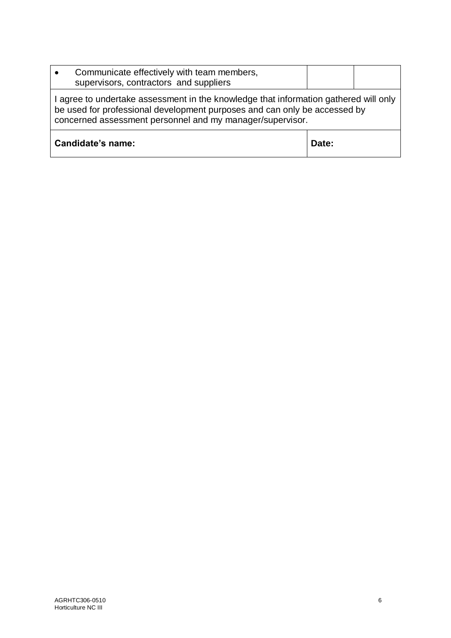| Communicate effectively with team members,<br>supervisors, contractors and suppliers                                                                                                                                           |       |  |
|--------------------------------------------------------------------------------------------------------------------------------------------------------------------------------------------------------------------------------|-------|--|
| I agree to undertake assessment in the knowledge that information gathered will only<br>be used for professional development purposes and can only be accessed by<br>concerned assessment personnel and my manager/supervisor. |       |  |
| Candidate's name:                                                                                                                                                                                                              | Date: |  |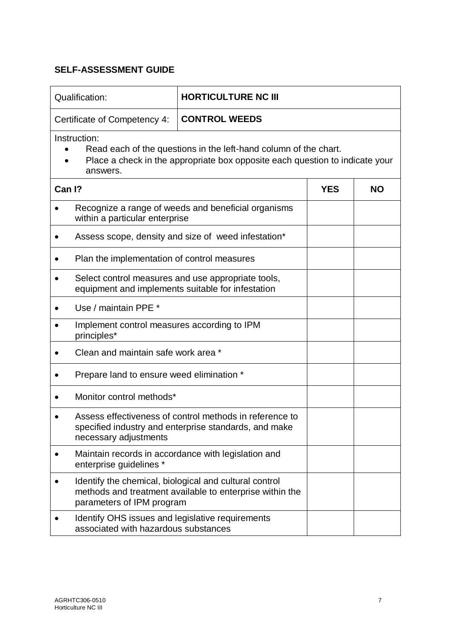| Qualification:                                                                                                                                                               | <b>HORTICULTURE NC III</b>                                                                                         |            |           |  |
|------------------------------------------------------------------------------------------------------------------------------------------------------------------------------|--------------------------------------------------------------------------------------------------------------------|------------|-----------|--|
| Certificate of Competency 4:                                                                                                                                                 | <b>CONTROL WEEDS</b>                                                                                               |            |           |  |
| Instruction:<br>Read each of the questions in the left-hand column of the chart.<br>Place a check in the appropriate box opposite each question to indicate your<br>answers. |                                                                                                                    |            |           |  |
| Can I?                                                                                                                                                                       |                                                                                                                    | <b>YES</b> | <b>NO</b> |  |
| within a particular enterprise                                                                                                                                               | Recognize a range of weeds and beneficial organisms                                                                |            |           |  |
|                                                                                                                                                                              | Assess scope, density and size of weed infestation*                                                                |            |           |  |
| Plan the implementation of control measures                                                                                                                                  |                                                                                                                    |            |           |  |
| $\bullet$                                                                                                                                                                    | Select control measures and use appropriate tools,<br>equipment and implements suitable for infestation            |            |           |  |
| Use / maintain PPE *                                                                                                                                                         |                                                                                                                    |            |           |  |
| Implement control measures according to IPM<br>principles*                                                                                                                   |                                                                                                                    |            |           |  |
| Clean and maintain safe work area *                                                                                                                                          |                                                                                                                    |            |           |  |
| Prepare land to ensure weed elimination *                                                                                                                                    |                                                                                                                    |            |           |  |
| Monitor control methods*                                                                                                                                                     |                                                                                                                    |            |           |  |
| necessary adjustments                                                                                                                                                        | Assess effectiveness of control methods in reference to<br>specified industry and enterprise standards, and make   |            |           |  |
| ٠<br>enterprise guidelines *                                                                                                                                                 | Maintain records in accordance with legislation and                                                                |            |           |  |
| parameters of IPM program                                                                                                                                                    | Identify the chemical, biological and cultural control<br>methods and treatment available to enterprise within the |            |           |  |
| Identify OHS issues and legislative requirements<br>associated with hazardous substances                                                                                     |                                                                                                                    |            |           |  |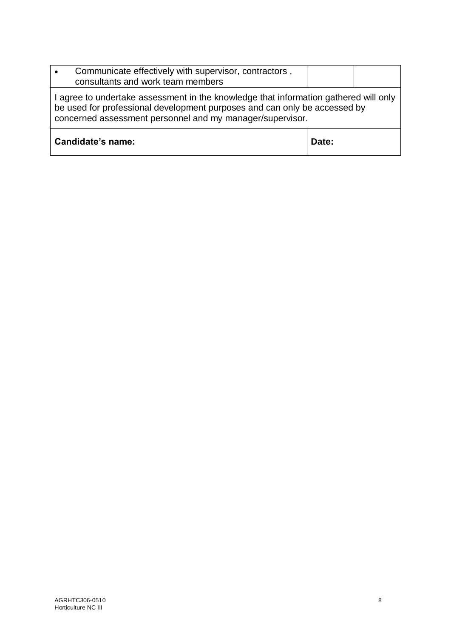| Communicate effectively with supervisor, contractors,<br>$\bullet$<br>consultants and work team members                                                                                                                        |       |  |
|--------------------------------------------------------------------------------------------------------------------------------------------------------------------------------------------------------------------------------|-------|--|
| I agree to undertake assessment in the knowledge that information gathered will only<br>be used for professional development purposes and can only be accessed by<br>concerned assessment personnel and my manager/supervisor. |       |  |
| Candidate's name:                                                                                                                                                                                                              | Date: |  |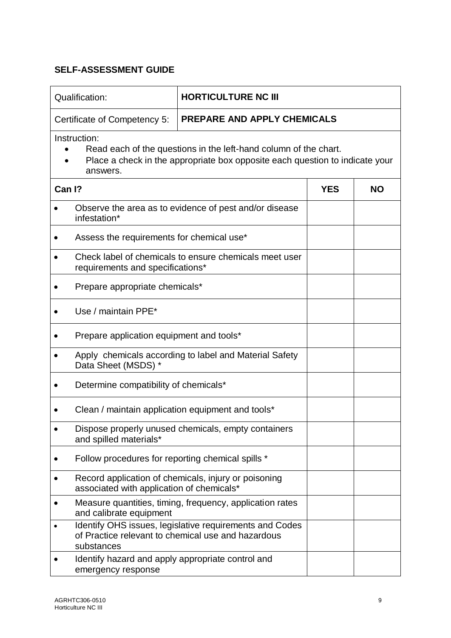|           | <b>Qualification:</b>                                                                                                                                                        | <b>HORTICULTURE NC III</b>                                                                                    |            |           |
|-----------|------------------------------------------------------------------------------------------------------------------------------------------------------------------------------|---------------------------------------------------------------------------------------------------------------|------------|-----------|
|           | <b>PREPARE AND APPLY CHEMICALS</b><br>Certificate of Competency 5:                                                                                                           |                                                                                                               |            |           |
|           | Instruction:<br>Read each of the questions in the left-hand column of the chart.<br>Place a check in the appropriate box opposite each question to indicate your<br>answers. |                                                                                                               |            |           |
| Can I?    |                                                                                                                                                                              |                                                                                                               | <b>YES</b> | <b>NO</b> |
|           | infestation*                                                                                                                                                                 | Observe the area as to evidence of pest and/or disease                                                        |            |           |
|           | Assess the requirements for chemical use*                                                                                                                                    |                                                                                                               |            |           |
|           | requirements and specifications*                                                                                                                                             | Check label of chemicals to ensure chemicals meet user                                                        |            |           |
|           | Prepare appropriate chemicals*                                                                                                                                               |                                                                                                               |            |           |
|           | Use / maintain PPE*                                                                                                                                                          |                                                                                                               |            |           |
|           | Prepare application equipment and tools*                                                                                                                                     |                                                                                                               |            |           |
|           | Data Sheet (MSDS) *                                                                                                                                                          | Apply chemicals according to label and Material Safety                                                        |            |           |
|           | Determine compatibility of chemicals*                                                                                                                                        |                                                                                                               |            |           |
|           | Clean / maintain application equipment and tools*                                                                                                                            |                                                                                                               |            |           |
|           | and spilled materials*                                                                                                                                                       | Dispose properly unused chemicals, empty containers                                                           |            |           |
|           | Follow procedures for reporting chemical spills *                                                                                                                            |                                                                                                               |            |           |
|           | associated with application of chemicals*                                                                                                                                    | Record application of chemicals, injury or poisoning                                                          |            |           |
| $\bullet$ | and calibrate equipment                                                                                                                                                      | Measure quantities, timing, frequency, application rates                                                      |            |           |
|           | substances                                                                                                                                                                   | Identify OHS issues, legislative requirements and Codes<br>of Practice relevant to chemical use and hazardous |            |           |
|           | Identify hazard and apply appropriate control and<br>emergency response                                                                                                      |                                                                                                               |            |           |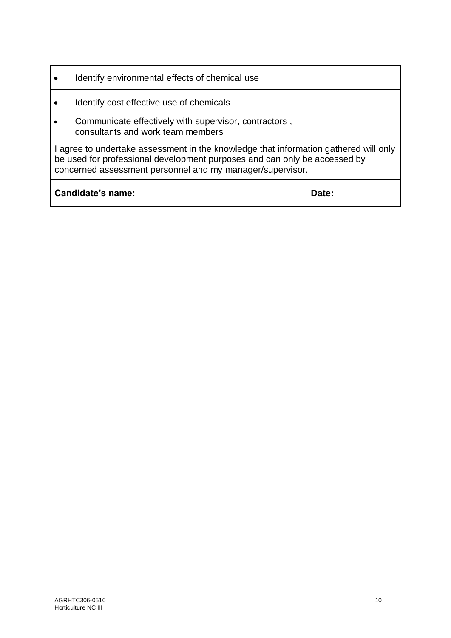|                            | Identify environmental effects of chemical use                                                                                                                                                                                 |  |  |  |
|----------------------------|--------------------------------------------------------------------------------------------------------------------------------------------------------------------------------------------------------------------------------|--|--|--|
|                            | Identify cost effective use of chemicals                                                                                                                                                                                       |  |  |  |
|                            | Communicate effectively with supervisor, contractors,<br>consultants and work team members                                                                                                                                     |  |  |  |
|                            | I agree to undertake assessment in the knowledge that information gathered will only<br>be used for professional development purposes and can only be accessed by<br>concerned assessment personnel and my manager/supervisor. |  |  |  |
| Candidate's name:<br>Date: |                                                                                                                                                                                                                                |  |  |  |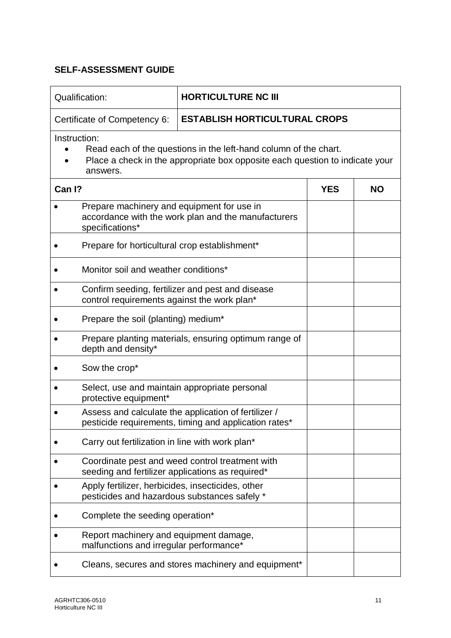| Qualification:                                                                    | <b>HORTICULTURE NC III</b>                                                                                                                       |            |           |  |  |
|-----------------------------------------------------------------------------------|--------------------------------------------------------------------------------------------------------------------------------------------------|------------|-----------|--|--|
| Certificate of Competency 6:                                                      | <b>ESTABLISH HORTICULTURAL CROPS</b>                                                                                                             |            |           |  |  |
| Instruction:<br>answers.                                                          | Read each of the questions in the left-hand column of the chart.<br>Place a check in the appropriate box opposite each question to indicate your |            |           |  |  |
| Can I?                                                                            |                                                                                                                                                  | <b>YES</b> | <b>NO</b> |  |  |
| Prepare machinery and equipment for use in<br>specifications*                     | accordance with the work plan and the manufacturers                                                                                              |            |           |  |  |
| Prepare for horticultural crop establishment*                                     |                                                                                                                                                  |            |           |  |  |
| Monitor soil and weather conditions*                                              |                                                                                                                                                  |            |           |  |  |
| control requirements against the work plan*                                       | Confirm seeding, fertilizer and pest and disease                                                                                                 |            |           |  |  |
| Prepare the soil (planting) medium*                                               |                                                                                                                                                  |            |           |  |  |
| depth and density*                                                                | Prepare planting materials, ensuring optimum range of                                                                                            |            |           |  |  |
| Sow the crop*                                                                     |                                                                                                                                                  |            |           |  |  |
| protective equipment*                                                             | Select, use and maintain appropriate personal                                                                                                    |            |           |  |  |
|                                                                                   | Assess and calculate the application of fertilizer /<br>pesticide requirements, timing and application rates*                                    |            |           |  |  |
| Carry out fertilization in line with work plan*                                   |                                                                                                                                                  |            |           |  |  |
|                                                                                   | Coordinate pest and weed control treatment with<br>seeding and fertilizer applications as required*                                              |            |           |  |  |
| Apply fertilizer, herbicides, insecticides, other                                 | pesticides and hazardous substances safely *                                                                                                     |            |           |  |  |
| Complete the seeding operation*                                                   |                                                                                                                                                  |            |           |  |  |
| Report machinery and equipment damage,<br>malfunctions and irregular performance* |                                                                                                                                                  |            |           |  |  |
|                                                                                   | Cleans, secures and stores machinery and equipment*                                                                                              |            |           |  |  |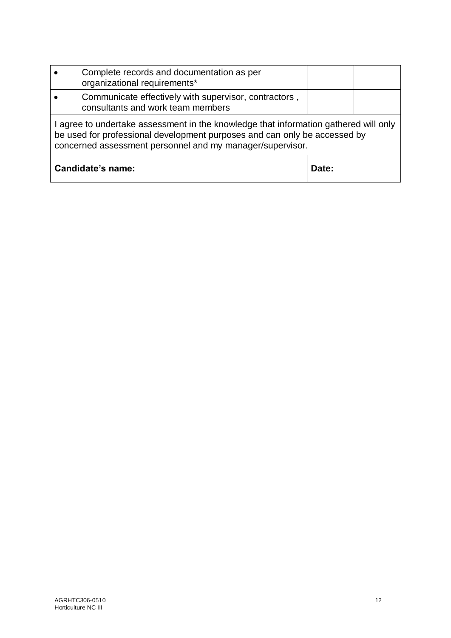|                                                                                                                                                                                                                                | Complete records and documentation as per<br>organizational requirements*                  |       |  |
|--------------------------------------------------------------------------------------------------------------------------------------------------------------------------------------------------------------------------------|--------------------------------------------------------------------------------------------|-------|--|
|                                                                                                                                                                                                                                | Communicate effectively with supervisor, contractors,<br>consultants and work team members |       |  |
| I agree to undertake assessment in the knowledge that information gathered will only<br>be used for professional development purposes and can only be accessed by<br>concerned assessment personnel and my manager/supervisor. |                                                                                            |       |  |
| Candidate's name:                                                                                                                                                                                                              |                                                                                            | Date: |  |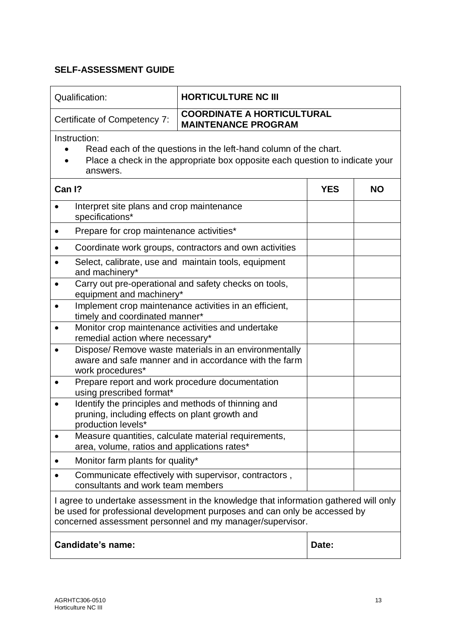| Qualification:                                                                                                                                                                                                                 | <b>HORTICULTURE NC III</b>                                      |           |  |  |
|--------------------------------------------------------------------------------------------------------------------------------------------------------------------------------------------------------------------------------|-----------------------------------------------------------------|-----------|--|--|
| Certificate of Competency 7:                                                                                                                                                                                                   | <b>COORDINATE A HORTICULTURAL</b><br><b>MAINTENANCE PROGRAM</b> |           |  |  |
| Instruction:<br>Read each of the questions in the left-hand column of the chart.<br>Place a check in the appropriate box opposite each question to indicate your<br>answers.                                                   |                                                                 |           |  |  |
| Can I?<br><b>YES</b>                                                                                                                                                                                                           |                                                                 | <b>NO</b> |  |  |
| Interpret site plans and crop maintenance<br>specifications*                                                                                                                                                                   |                                                                 |           |  |  |
| Prepare for crop maintenance activities*                                                                                                                                                                                       |                                                                 |           |  |  |
|                                                                                                                                                                                                                                | Coordinate work groups, contractors and own activities          |           |  |  |
| Select, calibrate, use and maintain tools, equipment<br>$\bullet$<br>and machinery*                                                                                                                                            |                                                                 |           |  |  |
| Carry out pre-operational and safety checks on tools,<br>equipment and machinery*                                                                                                                                              |                                                                 |           |  |  |
| Implement crop maintenance activities in an efficient,<br>$\bullet$<br>timely and coordinated manner*                                                                                                                          |                                                                 |           |  |  |
| Monitor crop maintenance activities and undertake<br>remedial action where necessary*                                                                                                                                          |                                                                 |           |  |  |
| Dispose/ Remove waste materials in an environmentally<br>aware and safe manner and in accordance with the farm<br>work procedures*                                                                                             |                                                                 |           |  |  |
| Prepare report and work procedure documentation<br>using prescribed format*                                                                                                                                                    |                                                                 |           |  |  |
| Identify the principles and methods of thinning and<br>pruning, including effects on plant growth and<br>production levels*                                                                                                    |                                                                 |           |  |  |
| area, volume, ratios and applications rates*                                                                                                                                                                                   | Measure quantities, calculate material requirements,            |           |  |  |
| Monitor farm plants for quality*                                                                                                                                                                                               |                                                                 |           |  |  |
| consultants and work team members                                                                                                                                                                                              | Communicate effectively with supervisor, contractors,           |           |  |  |
| I agree to undertake assessment in the knowledge that information gathered will only<br>be used for professional development purposes and can only be accessed by<br>concerned assessment personnel and my manager/supervisor. |                                                                 |           |  |  |
| Candidate's name:                                                                                                                                                                                                              |                                                                 | Date:     |  |  |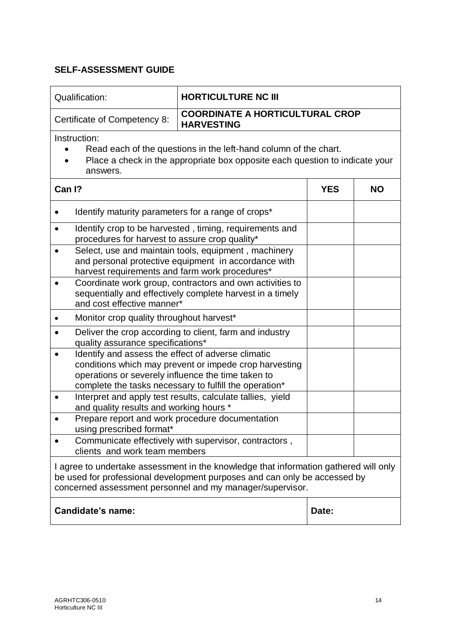| Qualification:                                                                                                                                                                                                                                                                             | <b>HORTICULTURE NC III</b>                                  |            |           |  |
|--------------------------------------------------------------------------------------------------------------------------------------------------------------------------------------------------------------------------------------------------------------------------------------------|-------------------------------------------------------------|------------|-----------|--|
| Certificate of Competency 8:                                                                                                                                                                                                                                                               | <b>COORDINATE A HORTICULTURAL CROP</b><br><b>HARVESTING</b> |            |           |  |
| Instruction:<br>Read each of the questions in the left-hand column of the chart.<br>Place a check in the appropriate box opposite each question to indicate your<br>answers.                                                                                                               |                                                             |            |           |  |
| Can I?                                                                                                                                                                                                                                                                                     |                                                             | <b>YES</b> | <b>NO</b> |  |
| Identify maturity parameters for a range of crops*                                                                                                                                                                                                                                         |                                                             |            |           |  |
| Identify crop to be harvested, timing, requirements and<br>procedures for harvest to assure crop quality*                                                                                                                                                                                  |                                                             |            |           |  |
| Select, use and maintain tools, equipment, machinery<br>$\bullet$<br>and personal protective equipment in accordance with<br>harvest requirements and farm work procedures*                                                                                                                |                                                             |            |           |  |
| Coordinate work group, contractors and own activities to<br>$\bullet$<br>sequentially and effectively complete harvest in a timely<br>and cost effective manner*                                                                                                                           |                                                             |            |           |  |
| Monitor crop quality throughout harvest*                                                                                                                                                                                                                                                   |                                                             |            |           |  |
| Deliver the crop according to client, farm and industry<br>٠<br>quality assurance specifications*                                                                                                                                                                                          |                                                             |            |           |  |
| Identify and assess the effect of adverse climatic<br>conditions which may prevent or impede crop harvesting<br>operations or severely influence the time taken to<br>complete the tasks necessary to fulfill the operation*<br>Interpret and apply test results, calculate tallies, yield |                                                             |            |           |  |
| $\bullet$<br>and quality results and working hours *                                                                                                                                                                                                                                       |                                                             |            |           |  |
| using prescribed format*                                                                                                                                                                                                                                                                   | Prepare report and work procedure documentation             |            |           |  |
| clients and work team members                                                                                                                                                                                                                                                              | Communicate effectively with supervisor, contractors,       |            |           |  |
| I agree to undertake assessment in the knowledge that information gathered will only<br>be used for professional development purposes and can only be accessed by<br>concerned assessment personnel and my manager/supervisor.                                                             |                                                             |            |           |  |
| Candidate's name:                                                                                                                                                                                                                                                                          |                                                             | Date:      |           |  |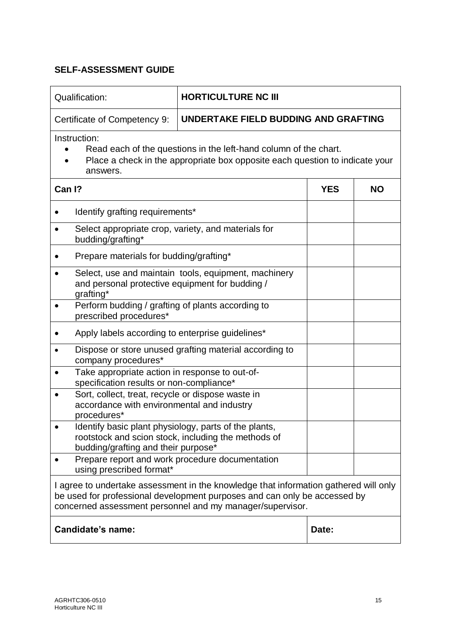| Qualification:                                                                                                                                                                                                                 | <b>HORTICULTURE NC III</b>                          |            |           |  |
|--------------------------------------------------------------------------------------------------------------------------------------------------------------------------------------------------------------------------------|-----------------------------------------------------|------------|-----------|--|
| Certificate of Competency 9:                                                                                                                                                                                                   | UNDERTAKE FIELD BUDDING AND GRAFTING                |            |           |  |
| Instruction:<br>Read each of the questions in the left-hand column of the chart.<br>Place a check in the appropriate box opposite each question to indicate your<br>answers.                                                   |                                                     |            |           |  |
| Can I?                                                                                                                                                                                                                         |                                                     | <b>YES</b> | <b>NO</b> |  |
| Identify grafting requirements*                                                                                                                                                                                                |                                                     |            |           |  |
| Select appropriate crop, variety, and materials for<br>budding/grafting*                                                                                                                                                       |                                                     |            |           |  |
| Prepare materials for budding/grafting*                                                                                                                                                                                        |                                                     |            |           |  |
| Select, use and maintain tools, equipment, machinery<br>and personal protective equipment for budding /<br>grafting*                                                                                                           |                                                     |            |           |  |
| Perform budding / grafting of plants according to<br>prescribed procedures*                                                                                                                                                    |                                                     |            |           |  |
| Apply labels according to enterprise guidelines*                                                                                                                                                                               |                                                     |            |           |  |
| Dispose or store unused grafting material according to<br>$\bullet$<br>company procedures*                                                                                                                                     |                                                     |            |           |  |
| Take appropriate action in response to out-of-<br>specification results or non-compliance*                                                                                                                                     |                                                     |            |           |  |
| Sort, collect, treat, recycle or dispose waste in<br>accordance with environmental and industry<br>procedures*                                                                                                                 |                                                     |            |           |  |
| Identify basic plant physiology, parts of the plants,<br>budding/grafting and their purpose*                                                                                                                                   | rootstock and scion stock, including the methods of |            |           |  |
| Prepare report and work procedure documentation<br>using prescribed format*                                                                                                                                                    |                                                     |            |           |  |
| I agree to undertake assessment in the knowledge that information gathered will only<br>be used for professional development purposes and can only be accessed by<br>concerned assessment personnel and my manager/supervisor. |                                                     |            |           |  |
| Candidate's name:                                                                                                                                                                                                              |                                                     | Date:      |           |  |